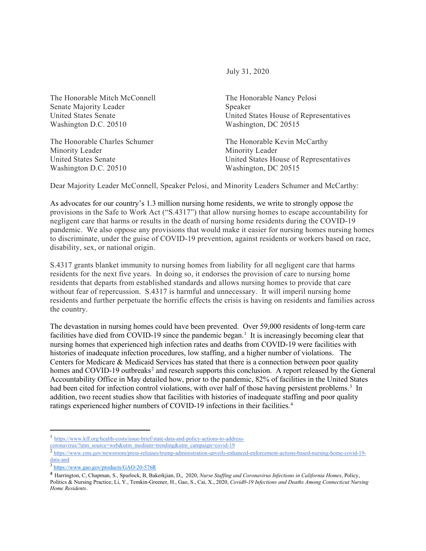July 31, 2020

The Honorable Mitch McConnell The Honorable Nancy Pelosi Senate Majority Leader Speaker Washington D.C. 20510 Washington, DC 20515

The Honorable Charles Schumer The Honorable Kevin McCarthy Minority Leader **Minority Leader** Minority Leader Washington D.C. 20510 Washington, DC 20515

United States Senate United States House of Representatives

United States Senate United States House of Representatives

Dear Majority Leader McConnell, Speaker Pelosi, and Minority Leaders Schumer and McCarthy:

As advocates for our country's 1.3 million nursing home residents, we write to strongly oppose the provisions in the Safe to Work Act ("S.4317") that allow nursing homes to escape accountability for negligent care that harms or results in the death of nursing home residents during the COVID-19 pandemic. We also oppose any provisions that would make it easier for nursing homes nursing homes to discriminate, under the guise of COVID-19 prevention, against residents or workers based on race, disability, sex, or national origin.

S.4317 grants blanket immunity to nursing homes from liability for all negligent care that harms residents for the next five years. In doing so, it endorses the provision of care to nursing home residents that departs from established standards and allows nursing homes to provide that care without fear of repercussion. S.4317 is harmful and unnecessary. It will imperil nursing home residents and further perpetuate the horrific effects the crisis is having on residents and families across the country.

The devastation in nursing homes could have been prevented. Over 59,000 residents of long-term care facilities have died from COVID-[1](#page-0-0)9 since the pandemic began.<sup>1</sup> It is increasingly becoming clear that nursing homes that experienced high infection rates and deaths from COVID-19 were facilities with histories of inadequate infection procedures, low staffing, and a higher number of violations. The Centers for Medicare & Medicaid Services has stated that there is a connection between poor quality homes and COVID-19 outbreaks<sup>[2](#page-0-1)</sup> and research supports this conclusion. A report released by the General Accountability Office in May detailed how, prior to the pandemic, 82% of facilities in the United States had been cited for infection control violations, with over half of those having persistent problems.<sup>[3](#page-0-2)</sup> In addition, two recent studies show that facilities with histories of inadequate staffing and poor quality ratings experienced higher numbers of COVID-19 infections in their facilities.[4](#page-0-3)

<span id="page-0-0"></span><sup>1</sup> [https://www.kff.org/health-costs/issue-brief/state-data-and-policy-actions-to-address-](https://www.kff.org/health-costs/issue-brief/state-data-and-policy-actions-to-address-coronavirus/?utm_source=web&utm_medium=trending&utm_campaign=covid-19)

[coronavirus/?utm\\_source=web&utm\\_medium=trending&utm\\_campaign=covid-19](https://www.kff.org/health-costs/issue-brief/state-data-and-policy-actions-to-address-coronavirus/?utm_source=web&utm_medium=trending&utm_campaign=covid-19)

<span id="page-0-1"></span><sup>&</sup>lt;sup>2</sup> [https://www.cms.gov/newsroom/press-releases/trump-administration-unveils-enhanced-enforcement-actions-based-nursing-home-covid-19](https://www.cms.gov/newsroom/press-releases/trump-administration-unveils-enhanced-enforcement-actions-based-nursing-home-covid-19-data-and) [data-and](https://www.cms.gov/newsroom/press-releases/trump-administration-unveils-enhanced-enforcement-actions-based-nursing-home-covid-19-data-and)

<span id="page-0-2"></span><sup>3</sup> <https://www.gao.gov/products/GAO-20-576R>

<span id="page-0-3"></span><sup>4</sup> Harrington, C, Chapman, S., Spurlock, B, Bakerkjian, D,, 2020, *Nurse Staffing and Coronavirus Infections in California Homes*, Policy, Politics & Nursing Practice; Li, Y., Temkin-Greener, H., Gao, S., Cai, X., 2020, *Covid0-19 Infections and Deaths Among Connecticut Nursing Home Residents*.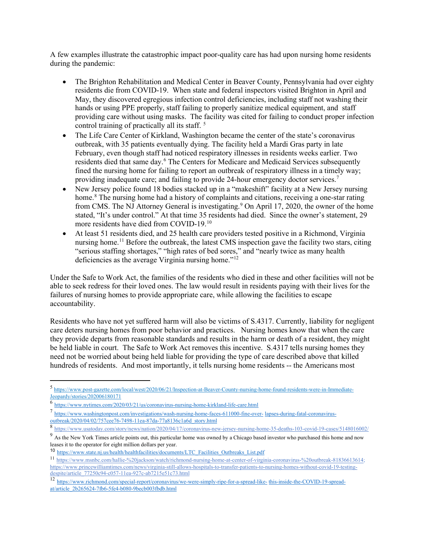A few examples illustrate the catastrophic impact poor-quality care has had upon nursing home residents during the pandemic:

- The Brighton Rehabilitation and Medical Center in Beaver County, Pennsylvania had over eighty residents die from COVID-19. When state and federal inspectors visited Brighton in April and May, they discovered egregious infection control deficiencies, including staff not washing their hands or using PPE properly, staff failing to properly sanitize medical equipment, and staff providing care without using masks. The facility was cited for failing to conduct proper infection control training of practically all its staff. [5](#page-1-0)
- The Life Care Center of Kirkland, Washington became the center of the state's coronavirus outbreak, with 35 patients eventually dying. The facility held a Mardi Gras party in late February, even though staff had noticed respiratory illnesses in residents weeks earlier. Two residents died that same day.<sup>[6](#page-1-1)</sup> The Centers for Medicare and Medicaid Services subsequently fined the nursing home for failing to report an outbreak of respiratory illness in a timely way; providing inadequate care; and failing to provide 24-hour emergency doctor services.[7](#page-1-2)
- New Jersey police found 18 bodies stacked up in a "makeshift" facility at a New Jersey nursing home.<sup>[8](#page-1-3)</sup> The nursing home had a history of complaints and citations, receiving a one-star rating from CMS. The NJ Attorney General is investigating.<sup>[9](#page-1-4)</sup> On April 17, 2020, the owner of the home stated, "It's under control." At that time 35 residents had died. Since the owner's statement, 29 more residents have died from COVID-19.<sup>[10](#page-1-5)</sup>
- At least 51 residents died, and 25 health care providers tested positive in a Richmond, Virginia nursing home.<sup>11</sup> Before the outbreak, the latest CMS inspection gave the facility two stars, citing "serious staffing shortages," "high rates of bed sores," and "nearly twice as many health deficiencies as the average Virginia nursing home."<sup>[12](#page-1-7)</sup>

Under the Safe to Work Act, the families of the residents who died in these and other facilities will not be able to seek redress for their loved ones. The law would result in residents paying with their lives for the failures of nursing homes to provide appropriate care, while allowing the facilities to escape accountability.

Residents who have not yet suffered harm will also be victims of S.4317. Currently, liability for negligent care deters nursing homes from poor behavior and practices. Nursing homes know that when the care they provide departs from reasonable standards and results in the harm or death of a resident, they might be held liable in court. The Safe to Work Act removes this incentive. S.4317 tells nursing homes they need not be worried about being held liable for providing the type of care described above that killed hundreds of residents. And most importantly, it tells nursing home residents -- the Americans most

<span id="page-1-0"></span><sup>5</sup> [https://www.post-gazette.com/local/west/2020/06/21/Inspection-at-Beaver-County-nursing-home-found-residents-were-in-Immediate-](https://www.post-gazette.com/local/west/2020/06/21/Inspection-at-Beaver-County-nursing-home-found-residents-were-in-Immediate-Jeopardy/stories/202006180171)[Jeopardy/stories/202006180171](https://www.post-gazette.com/local/west/2020/06/21/Inspection-at-Beaver-County-nursing-home-found-residents-were-in-Immediate-Jeopardy/stories/202006180171)

<span id="page-1-1"></span><sup>6</sup> <https://www.nytimes.com/2020/03/21/us/coronavirus-nursing-home-kirkland-life-care.html>

<span id="page-1-2"></span><sup>7</sup> https:[//www.washingtonpost.com/investigations/wash-nursing-home-faces-611000-fine-over-](http://www.washingtonpost.com/investigations/wash-nursing-home-faces-611000-fine-over-) lapses-during-fatal-coronavirusoutbreak/2020/04/02/757cee76-7498-11ea-87da-77a8136c1a6d\_story.html

<span id="page-1-3"></span><sup>8</sup> <https://www.usatoday.com/story/news/nation/2020/04/17/coronavirus-new-jersey-nursing-home-35-deaths-103-covid-19-cases/5148016002/>

<span id="page-1-4"></span><sup>&</sup>lt;sup>9</sup> As the New York Times article points out, this particular home was owned by a Chicago based investor who purchased this home and now leases it to the operator for eight million dollars per year.

<span id="page-1-5"></span><sup>10</sup> [https://www.state.nj.us/health/healthfacilities/documents/LTC\\_Facilities\\_Outbreaks\\_List.pdf](https://www.state.nj.us/health/healthfacilities/documents/LTC_Facilities_Outbreaks_List.pdf)

<span id="page-1-6"></span><sup>11</sup> [https://www.msnbc.com/hallie-%20jackson/watch/richmond-nursing-home-at-center-of-virginia-coronavirus-%20outbreak-81836613614;](https://www.msnbc.com/hallie-%20jackson/watch/richmond-nursing-home-at-center-of-virginia-coronavirus-%20outbreak-81836613614)  [https://www.princewilliamtimes.com/news/virginia-still-allows-hospitals-to-transfer-patients-to-nursing-homes-without-covid-19-testing](https://www.princewilliamtimes.com/news/virginia-still-allows-hospitals-to-transfer-patients-to-nursing-homes-without-covid-19-testing-despite/article_77250c94-c057-11ea-927c-ab7215e51c73.html)[despite/article\\_77250c94-c057-11ea-927c-ab7215e51c73.html](https://www.princewilliamtimes.com/news/virginia-still-allows-hospitals-to-transfer-patients-to-nursing-homes-without-covid-19-testing-despite/article_77250c94-c057-11ea-927c-ab7215e51c73.html)

<span id="page-1-7"></span><sup>12</sup> https:/[/www.richmond.com/special-report/coronavirus/we-were-simply-ripe-for-a-spread-like-](http://www.richmond.com/special-report/coronavirus/we-were-simply-ripe-for-a-spread-like-) this-inside-the-COVID-19-spreadat/article\_2b265624-7fb6-5fe4-b080-9becb003fbdb.html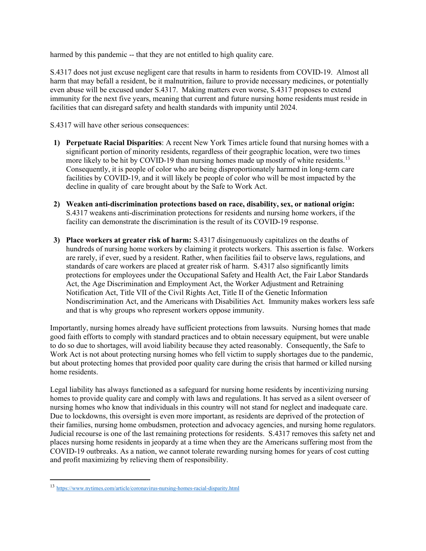harmed by this pandemic -- that they are not entitled to high quality care.

S.4317 does not just excuse negligent care that results in harm to residents from COVID-19. Almost all harm that may befall a resident, be it malnutrition, failure to provide necessary medicines, or potentially even abuse will be excused under S.4317. Making matters even worse, S.4317 proposes to extend immunity for the next five years, meaning that current and future nursing home residents must reside in facilities that can disregard safety and health standards with impunity until 2024.

S.4317 will have other serious consequences:

- **1) Perpetuate Racial Disparities**: A recent New York Times article found that nursing homes with a significant portion of minority residents, regardless of their geographic location, were two times more likely to be hit by COVID-19 than nursing homes made up mostly of white residents.<sup>[13](#page-2-0)</sup> Consequently, it is people of color who are being disproportionately harmed in long-term care facilities by COVID-19, and it will likely be people of color who will be most impacted by the decline in quality of care brought about by the Safe to Work Act.
- **2) Weaken anti-discrimination protections based on race, disability, sex, or national origin:**  S.4317 weakens anti-discrimination protections for residents and nursing home workers, if the facility can demonstrate the discrimination is the result of its COVID-19 response.
- **3) Place workers at greater risk of harm:** S.4317 disingenuously capitalizes on the deaths of hundreds of nursing home workers by claiming it protects workers. This assertion is false. Workers are rarely, if ever, sued by a resident. Rather, when facilities fail to observe laws, regulations, and standards of care workers are placed at greater risk of harm. S.4317 also significantly limits protections for employees under the Occupational Safety and Health Act, the Fair Labor Standards Act, the Age Discrimination and Employment Act, the Worker Adjustment and Retraining Notification Act, Title VII of the Civil Rights Act, Title II of the Genetic Information Nondiscrimination Act, and the Americans with Disabilities Act. Immunity makes workers less safe and that is why groups who represent workers oppose immunity.

Importantly, nursing homes already have sufficient protections from lawsuits. Nursing homes that made good faith efforts to comply with standard practices and to obtain necessary equipment, but were unable to do so due to shortages, will avoid liability because they acted reasonably. Consequently, the Safe to Work Act is not about protecting nursing homes who fell victim to supply shortages due to the pandemic, but about protecting homes that provided poor quality care during the crisis that harmed or killed nursing home residents.

Legal liability has always functioned as a safeguard for nursing home residents by incentivizing nursing homes to provide quality care and comply with laws and regulations. It has served as a silent overseer of nursing homes who know that individuals in this country will not stand for neglect and inadequate care. Due to lockdowns, this oversight is even more important, as residents are deprived of the protection of their families, nursing home ombudsmen, protection and advocacy agencies, and nursing home regulators. Judicial recourse is one of the last remaining protections for residents. S.4317 removes this safety net and places nursing home residents in jeopardy at a time when they are the Americans suffering most from the COVID-19 outbreaks. As a nation, we cannot tolerate rewarding nursing homes for years of cost cutting and profit maximizing by relieving them of responsibility.

<span id="page-2-0"></span><sup>13</sup> <https://www.nytimes.com/article/coronavirus-nursing-homes-racial-disparity.html>